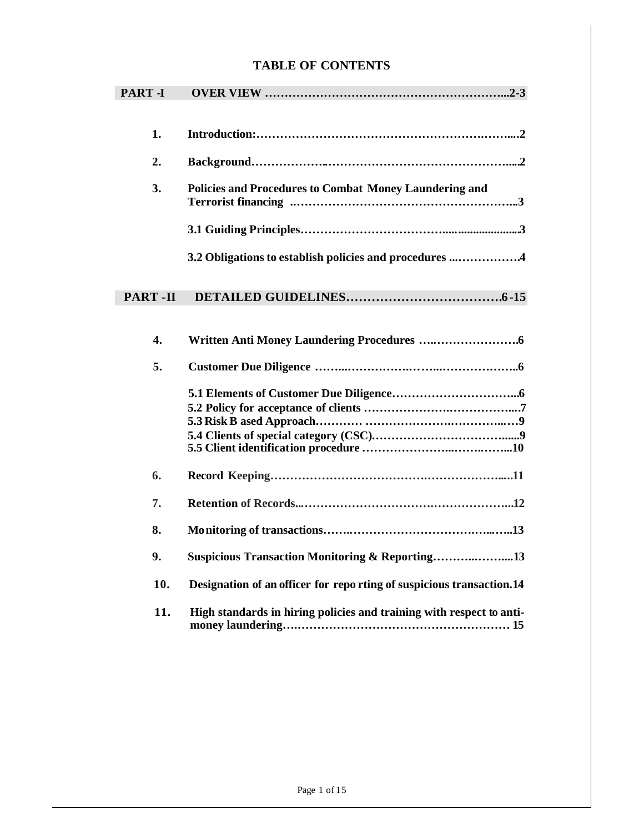# **TABLE OF CONTENTS**

| <b>PART-I</b>             |                                                                      |
|---------------------------|----------------------------------------------------------------------|
|                           |                                                                      |
| 1.                        |                                                                      |
| 2.                        |                                                                      |
| 3.                        | <b>Policies and Procedures to Combat Money Laundering and</b>        |
|                           |                                                                      |
|                           | 3.2 Obligations to establish policies and procedures 4               |
| PART-II                   |                                                                      |
| $\overline{\mathbf{4}}$ . |                                                                      |
| 5.                        |                                                                      |
|                           |                                                                      |
| 6.                        |                                                                      |
| 7.                        |                                                                      |
| 8.                        |                                                                      |
| 9.                        | <b>Suspicious Transaction Monitoring &amp; Reporting13</b>           |
| 10.                       | Designation of an officer for reporting of suspicious transaction.14 |
| 11.                       | High standards in hiring policies and training with respect to anti- |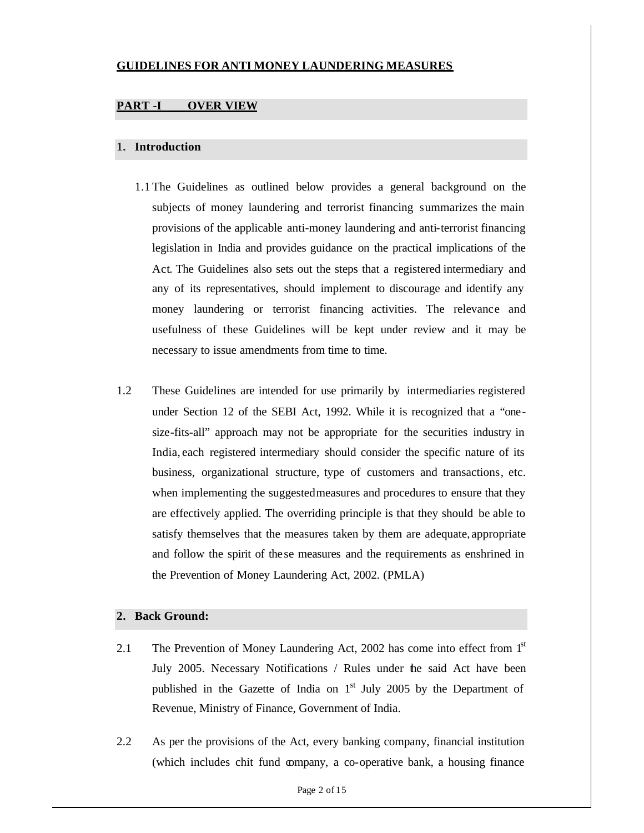# **GUIDELINES FOR ANTI MONEY LAUNDERING MEASURES**

# **PART -I OVER VIEW**

### **1. Introduction**

- 1.1 The Guidelines as outlined below provides a general background on the subjects of money laundering and terrorist financing summarizes the main provisions of the applicable anti-money laundering and anti-terrorist financing legislation in India and provides guidance on the practical implications of the Act. The Guidelines also sets out the steps that a registered intermediary and any of its representatives, should implement to discourage and identify any money laundering or terrorist financing activities. The relevance and usefulness of these Guidelines will be kept under review and it may be necessary to issue amendments from time to time.
- 1.2 These Guidelines are intended for use primarily by intermediaries registered under Section 12 of the SEBI Act, 1992. While it is recognized that a "onesize-fits-all" approach may not be appropriate for the securities industry in India, each registered intermediary should consider the specific nature of its business, organizational structure, type of customers and transactions, etc. when implementing the suggestedmeasures and procedures to ensure that they are effectively applied. The overriding principle is that they should be able to satisfy themselves that the measures taken by them are adequate, appropriate and follow the spirit of these measures and the requirements as enshrined in the Prevention of Money Laundering Act, 2002. (PMLA)

## **2. Back Ground:**

- 2.1 The Prevention of Money Laundering Act, 2002 has come into effect from 1<sup>st</sup> July 2005. Necessary Notifications / Rules under the said Act have been published in the Gazette of India on  $1<sup>st</sup>$  July 2005 by the Department of Revenue, Ministry of Finance, Government of India.
- 2.2 As per the provisions of the Act, every banking company, financial institution (which includes chit fund company, a co-operative bank, a housing finance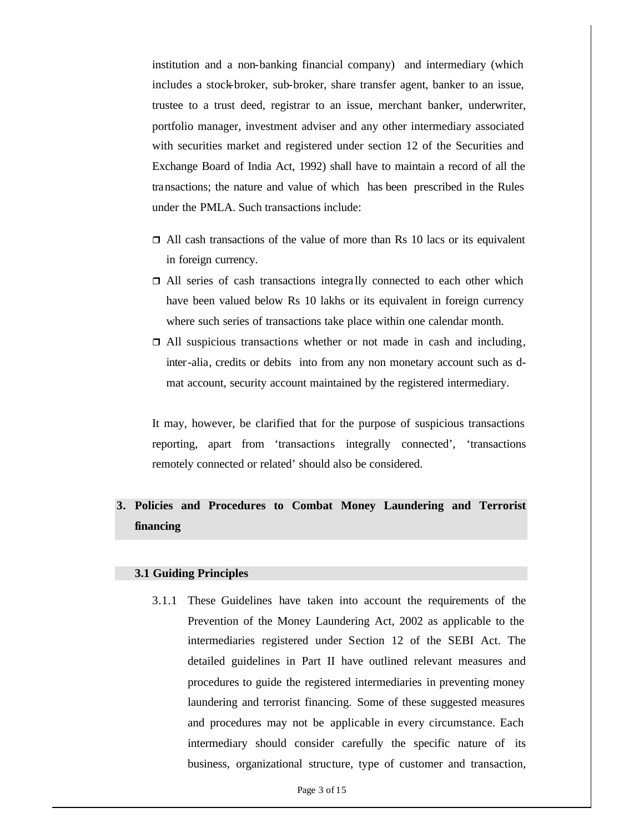institution and a non-banking financial company) and intermediary (which includes a stock-broker, sub-broker, share transfer agent, banker to an issue, trustee to a trust deed, registrar to an issue, merchant banker, underwriter, portfolio manager, investment adviser and any other intermediary associated with securities market and registered under section 12 of the Securities and Exchange Board of India Act, 1992) shall have to maintain a record of all the transactions; the nature and value of which has been prescribed in the Rules under the PMLA. Such transactions include:

- $\Box$  All cash transactions of the value of more than Rs 10 lacs or its equivalent in foreign currency.
- $\Box$  All series of cash transactions integrally connected to each other which have been valued below Rs 10 lakhs or its equivalent in foreign currency where such series of transactions take place within one calendar month.
- $\Box$  All suspicious transactions whether or not made in cash and including, inter-alia, credits or debits into from any non monetary account such as dmat account, security account maintained by the registered intermediary.

It may, however, be clarified that for the purpose of suspicious transactions reporting, apart from 'transactions integrally connected', 'transactions remotely connected or related' should also be considered.

# **3. Policies and Procedures to Combat Money Laundering and Terrorist financing**

#### **3.1 Guiding Principles**

3.1.1 These Guidelines have taken into account the requirements of the Prevention of the Money Laundering Act, 2002 as applicable to the intermediaries registered under Section 12 of the SEBI Act. The detailed guidelines in Part II have outlined relevant measures and procedures to guide the registered intermediaries in preventing money laundering and terrorist financing. Some of these suggested measures and procedures may not be applicable in every circumstance. Each intermediary should consider carefully the specific nature of its business, organizational structure, type of customer and transaction,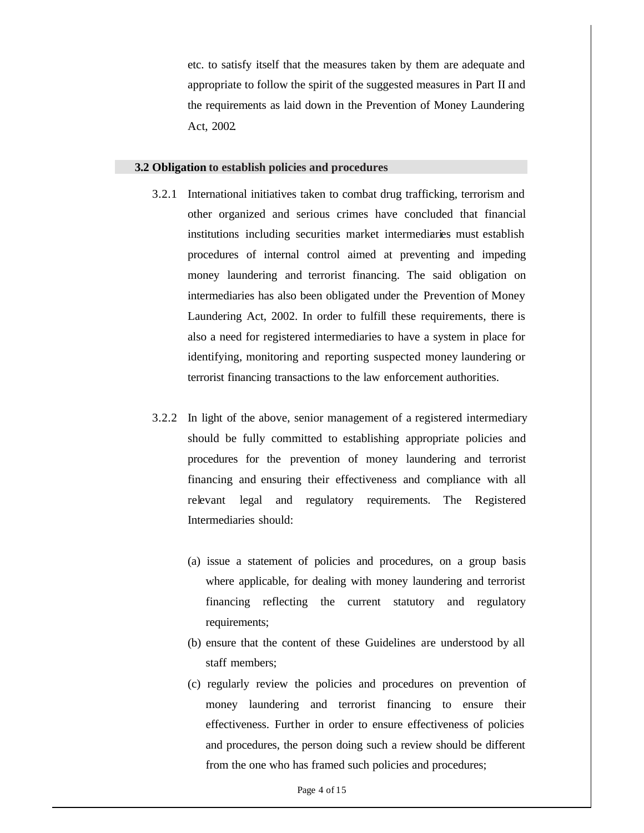etc. to satisfy itself that the measures taken by them are adequate and appropriate to follow the spirit of the suggested measures in Part II and the requirements as laid down in the Prevention of Money Laundering Act, 2002.

#### **3.2 Obligation to establish policies and procedures**

- 3.2.1 International initiatives taken to combat drug trafficking, terrorism and other organized and serious crimes have concluded that financial institutions including securities market intermediaries must establish procedures of internal control aimed at preventing and impeding money laundering and terrorist financing. The said obligation on intermediaries has also been obligated under the Prevention of Money Laundering Act, 2002. In order to fulfill these requirements, there is also a need for registered intermediaries to have a system in place for identifying, monitoring and reporting suspected money laundering or terrorist financing transactions to the law enforcement authorities.
- 3.2.2 In light of the above, senior management of a registered intermediary should be fully committed to establishing appropriate policies and procedures for the prevention of money laundering and terrorist financing and ensuring their effectiveness and compliance with all relevant legal and regulatory requirements. The Registered Intermediaries should:
	- (a) issue a statement of policies and procedures, on a group basis where applicable, for dealing with money laundering and terrorist financing reflecting the current statutory and regulatory requirements;
	- (b) ensure that the content of these Guidelines are understood by all staff members;
	- (c) regularly review the policies and procedures on prevention of money laundering and terrorist financing to ensure their effectiveness. Further in order to ensure effectiveness of policies and procedures, the person doing such a review should be different from the one who has framed such policies and procedures;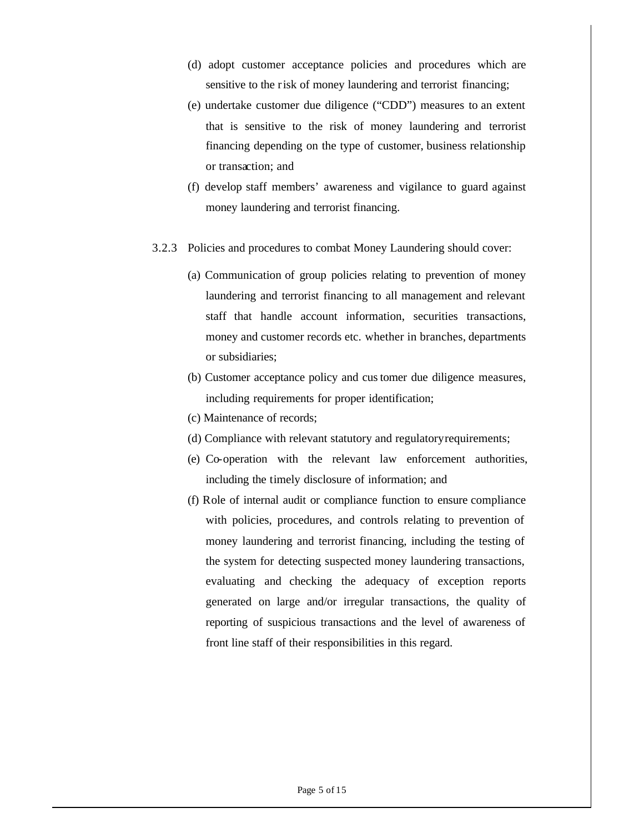- (d) adopt customer acceptance policies and procedures which are sensitive to the risk of money laundering and terrorist financing;
- (e) undertake customer due diligence ("CDD") measures to an extent that is sensitive to the risk of money laundering and terrorist financing depending on the type of customer, business relationship or transaction; and
- (f) develop staff members' awareness and vigilance to guard against money laundering and terrorist financing.
- 3.2.3 Policies and procedures to combat Money Laundering should cover:
	- (a) Communication of group policies relating to prevention of money laundering and terrorist financing to all management and relevant staff that handle account information, securities transactions, money and customer records etc. whether in branches, departments or subsidiaries;
	- (b) Customer acceptance policy and customer due diligence measures, including requirements for proper identification;
	- (c) Maintenance of records;
	- (d) Compliance with relevant statutory and regulatoryrequirements;
	- (e) Co-operation with the relevant law enforcement authorities, including the timely disclosure of information; and
	- (f) Role of internal audit or compliance function to ensure compliance with policies, procedures, and controls relating to prevention of money laundering and terrorist financing, including the testing of the system for detecting suspected money laundering transactions, evaluating and checking the adequacy of exception reports generated on large and/or irregular transactions, the quality of reporting of suspicious transactions and the level of awareness of front line staff of their responsibilities in this regard.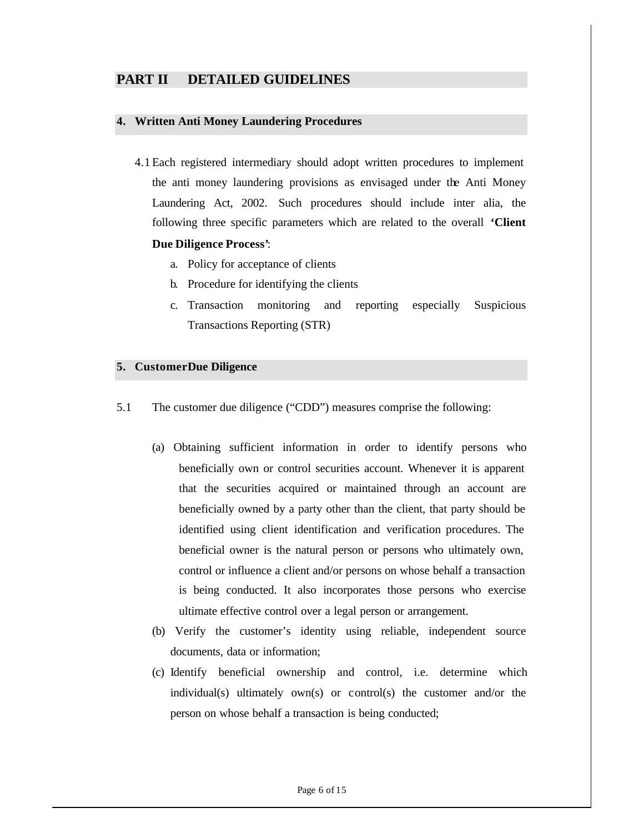# **PART II DETAILED GUIDELINES**

#### **4. Written Anti Money Laundering Procedures**

- 4.1 Each registered intermediary should adopt written procedures to implement the anti money laundering provisions as envisaged under the Anti Money Laundering Act, 2002. Such procedures should include inter alia, the following three specific parameters which are related to the overall **'Client Due Diligence Process'**:
	- a. Policy for acceptance of clients
	- b. Procedure for identifying the clients
	- c. Transaction monitoring and reporting especially Suspicious Transactions Reporting (STR)

#### **5. Customer Due Diligence**

- 5.1 The customer due diligence ("CDD") measures comprise the following:
	- (a) Obtaining sufficient information in order to identify persons who beneficially own or control securities account. Whenever it is apparent that the securities acquired or maintained through an account are beneficially owned by a party other than the client, that party should be identified using client identification and verification procedures. The beneficial owner is the natural person or persons who ultimately own, control or influence a client and/or persons on whose behalf a transaction is being conducted. It also incorporates those persons who exercise ultimate effective control over a legal person or arrangement.
	- (b) Verify the customer's identity using reliable, independent source documents, data or information;
	- (c) Identify beneficial ownership and control, i.e. determine which individual(s) ultimately own(s) or control(s) the customer and/or the person on whose behalf a transaction is being conducted;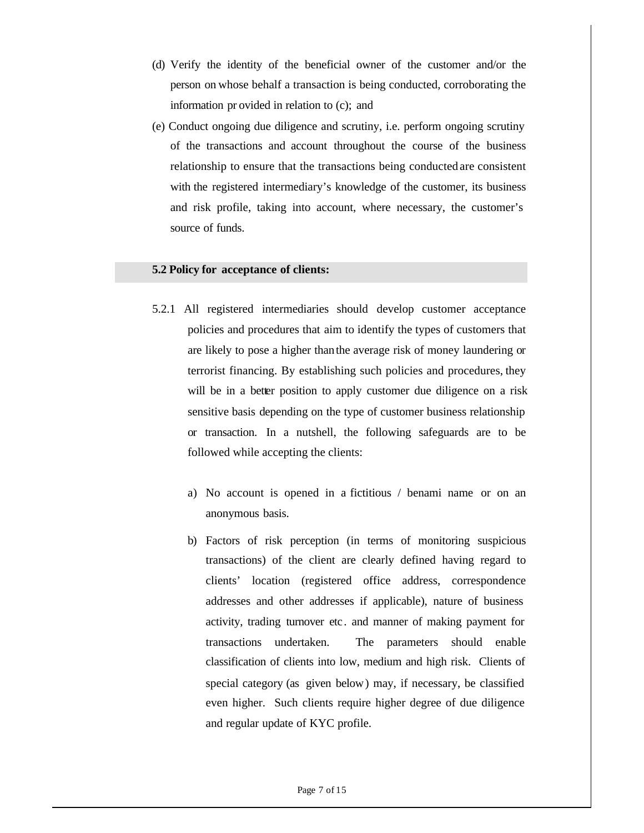- (d) Verify the identity of the beneficial owner of the customer and/or the person on whose behalf a transaction is being conducted, corroborating the information pr ovided in relation to (c); and
- (e) Conduct ongoing due diligence and scrutiny, i.e. perform ongoing scrutiny of the transactions and account throughout the course of the business relationship to ensure that the transactions being conducted are consistent with the registered intermediary's knowledge of the customer, its business and risk profile, taking into account, where necessary, the customer's source of funds.

#### **5.2 Policy for acceptance of clients:**

- 5.2.1 All registered intermediaries should develop customer acceptance policies and procedures that aim to identify the types of customers that are likely to pose a higher than the average risk of money laundering or terrorist financing. By establishing such policies and procedures, they will be in a better position to apply customer due diligence on a risk sensitive basis depending on the type of customer business relationship or transaction. In a nutshell, the following safeguards are to be followed while accepting the clients:
	- a) No account is opened in a fictitious / benami name or on an anonymous basis.
	- b) Factors of risk perception (in terms of monitoring suspicious transactions) of the client are clearly defined having regard to clients' location (registered office address, correspondence addresses and other addresses if applicable), nature of business activity, trading turnover etc. and manner of making payment for transactions undertaken. The parameters should enable classification of clients into low, medium and high risk. Clients of special category (as given below) may, if necessary, be classified even higher. Such clients require higher degree of due diligence and regular update of KYC profile.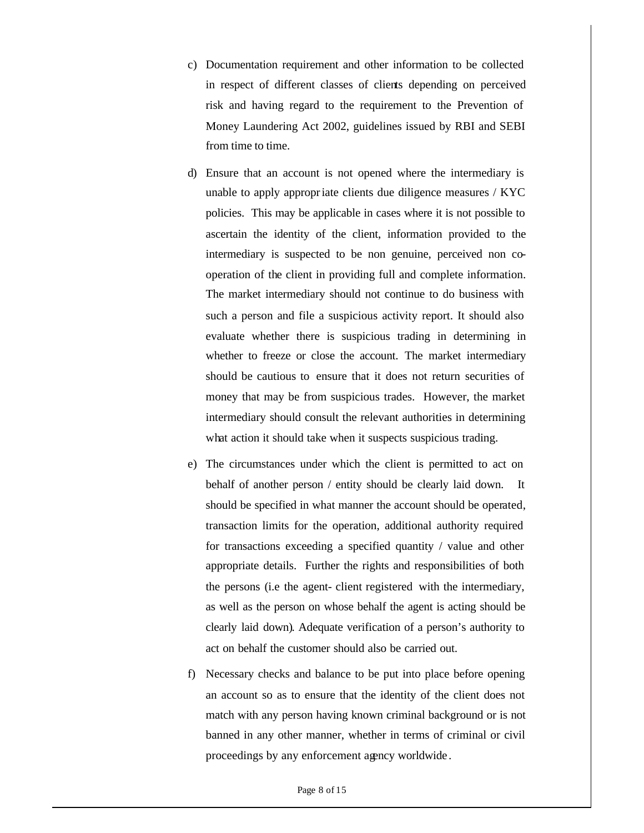- c) Documentation requirement and other information to be collected in respect of different classes of clients depending on perceived risk and having regard to the requirement to the Prevention of Money Laundering Act 2002, guidelines issued by RBI and SEBI from time to time.
- d) Ensure that an account is not opened where the intermediary is unable to apply appropriate clients due diligence measures / KYC policies. This may be applicable in cases where it is not possible to ascertain the identity of the client, information provided to the intermediary is suspected to be non genuine, perceived non cooperation of the client in providing full and complete information. The market intermediary should not continue to do business with such a person and file a suspicious activity report. It should also evaluate whether there is suspicious trading in determining in whether to freeze or close the account. The market intermediary should be cautious to ensure that it does not return securities of money that may be from suspicious trades. However, the market intermediary should consult the relevant authorities in determining what action it should take when it suspects suspicious trading.
- e) The circumstances under which the client is permitted to act on behalf of another person / entity should be clearly laid down. It should be specified in what manner the account should be operated, transaction limits for the operation, additional authority required for transactions exceeding a specified quantity / value and other appropriate details. Further the rights and responsibilities of both the persons (i.e the agent- client registered with the intermediary, as well as the person on whose behalf the agent is acting should be clearly laid down). Adequate verification of a person's authority to act on behalf the customer should also be carried out.
- f) Necessary checks and balance to be put into place before opening an account so as to ensure that the identity of the client does not match with any person having known criminal background or is not banned in any other manner, whether in terms of criminal or civil proceedings by any enforcement agency worldwide .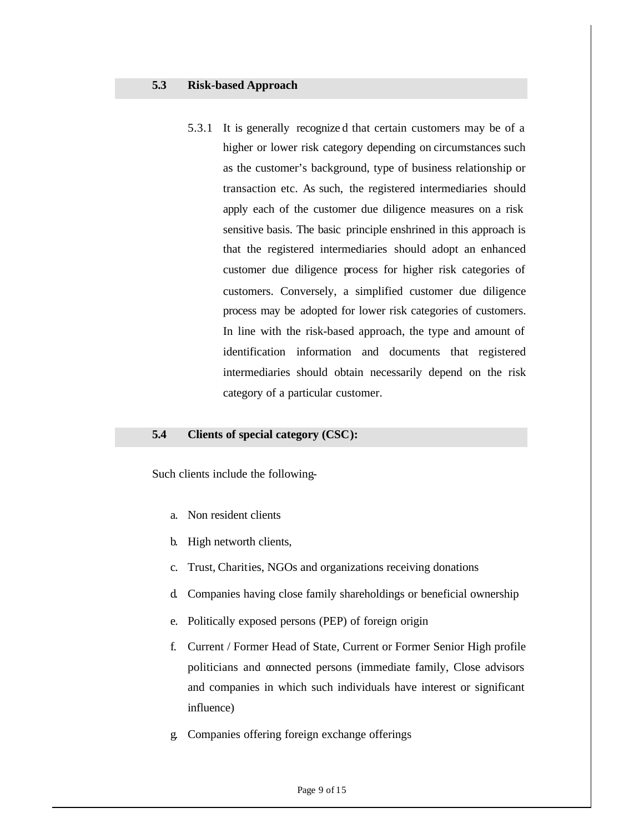5.3.1 It is generally recognize d that certain customers may be of a higher or lower risk category depending on circumstances such as the customer's background, type of business relationship or transaction etc. As such, the registered intermediaries should apply each of the customer due diligence measures on a risk sensitive basis. The basic principle enshrined in this approach is that the registered intermediaries should adopt an enhanced customer due diligence process for higher risk categories of customers. Conversely, a simplified customer due diligence process may be adopted for lower risk categories of customers. In line with the risk-based approach, the type and amount of identification information and documents that registered intermediaries should obtain necessarily depend on the risk category of a particular customer.

## **5.4 Clients of special category (CSC):**

Such clients include the following-

- a. Non resident clients
- b. High networth clients,
- c. Trust, Charities, NGOs and organizations receiving donations
- d. Companies having close family shareholdings or beneficial ownership
- e. Politically exposed persons (PEP) of foreign origin
- f. Current / Former Head of State, Current or Former Senior High profile politicians and connected persons (immediate family, Close advisors and companies in which such individuals have interest or significant influence)
- g. Companies offering foreign exchange offerings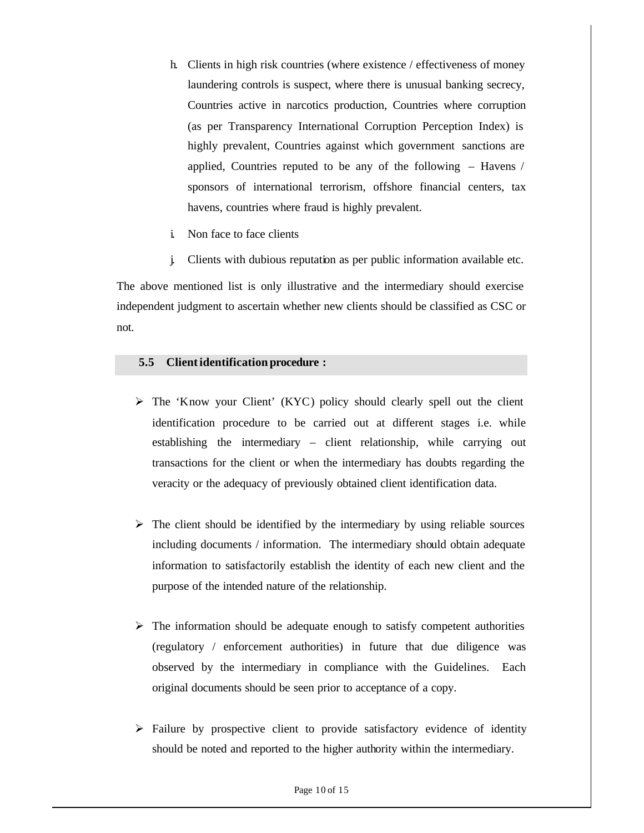- h. Clients in high risk countries (where existence / effectiveness of money laundering controls is suspect, where there is unusual banking secrecy, Countries active in narcotics production, Countries where corruption (as per Transparency International Corruption Perception Index) is highly prevalent, Countries against which government sanctions are applied, Countries reputed to be any of the following – Havens / sponsors of international terrorism, offshore financial centers, tax havens, countries where fraud is highly prevalent.
- i. Non face to face clients
- j. Clients with dubious reputation as per public information available etc.

The above mentioned list is only illustrative and the intermediary should exercise independent judgment to ascertain whether new clients should be classified as CSC or not.

#### **5.5 Clientidentification procedure :**

- $\triangleright$  The 'Know your Client' (KYC) policy should clearly spell out the client identification procedure to be carried out at different stages i.e. while establishing the intermediary – client relationship, while carrying out transactions for the client or when the intermediary has doubts regarding the veracity or the adequacy of previously obtained client identification data.
- $\triangleright$  The client should be identified by the intermediary by using reliable sources including documents / information. The intermediary should obtain adequate information to satisfactorily establish the identity of each new client and the purpose of the intended nature of the relationship.
- $\triangleright$  The information should be adequate enough to satisfy competent authorities (regulatory / enforcement authorities) in future that due diligence was observed by the intermediary in compliance with the Guidelines. Each original documents should be seen prior to acceptance of a copy.
- $\triangleright$  Failure by prospective client to provide satisfactory evidence of identity should be noted and reported to the higher authority within the intermediary.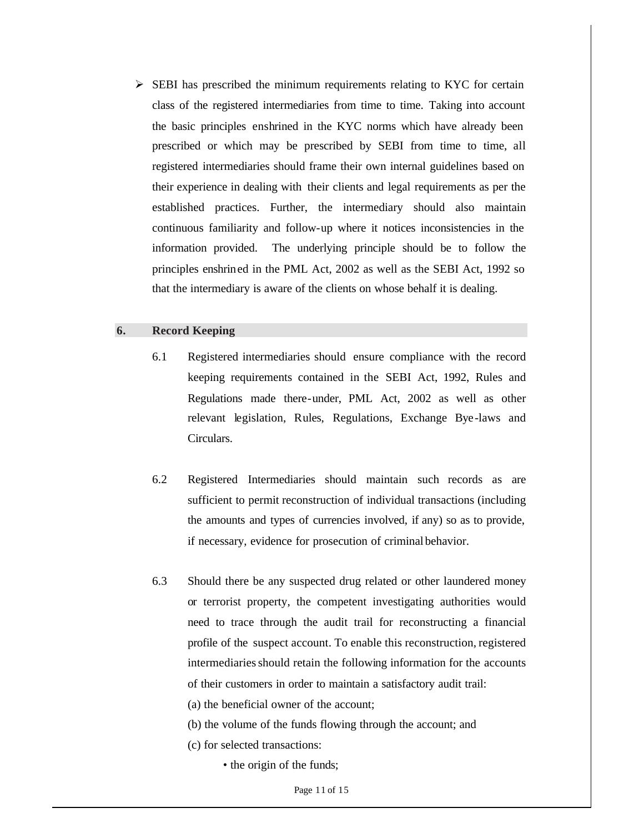$\triangleright$  SEBI has prescribed the minimum requirements relating to KYC for certain class of the registered intermediaries from time to time. Taking into account the basic principles enshrined in the KYC norms which have already been prescribed or which may be prescribed by SEBI from time to time, all registered intermediaries should frame their own internal guidelines based on their experience in dealing with their clients and legal requirements as per the established practices. Further, the intermediary should also maintain continuous familiarity and follow-up where it notices inconsistencies in the information provided. The underlying principle should be to follow the principles enshrined in the PML Act, 2002 as well as the SEBI Act, 1992 so that the intermediary is aware of the clients on whose behalf it is dealing.

# **6. Record Keeping**

- 6.1 Registered intermediaries should ensure compliance with the record keeping requirements contained in the SEBI Act, 1992, Rules and Regulations made there-under, PML Act, 2002 as well as other relevant legislation, Rules, Regulations, Exchange Bye-laws and Circulars.
- 6.2 Registered Intermediaries should maintain such records as are sufficient to permit reconstruction of individual transactions (including the amounts and types of currencies involved, if any) so as to provide, if necessary, evidence for prosecution of criminal behavior.
- 6.3 Should there be any suspected drug related or other laundered money or terrorist property, the competent investigating authorities would need to trace through the audit trail for reconstructing a financial profile of the suspect account. To enable this reconstruction, registered intermediaries should retain the following information for the accounts of their customers in order to maintain a satisfactory audit trail:
	- (a) the beneficial owner of the account;
	- (b) the volume of the funds flowing through the account; and
	- (c) for selected transactions:
		- the origin of the funds;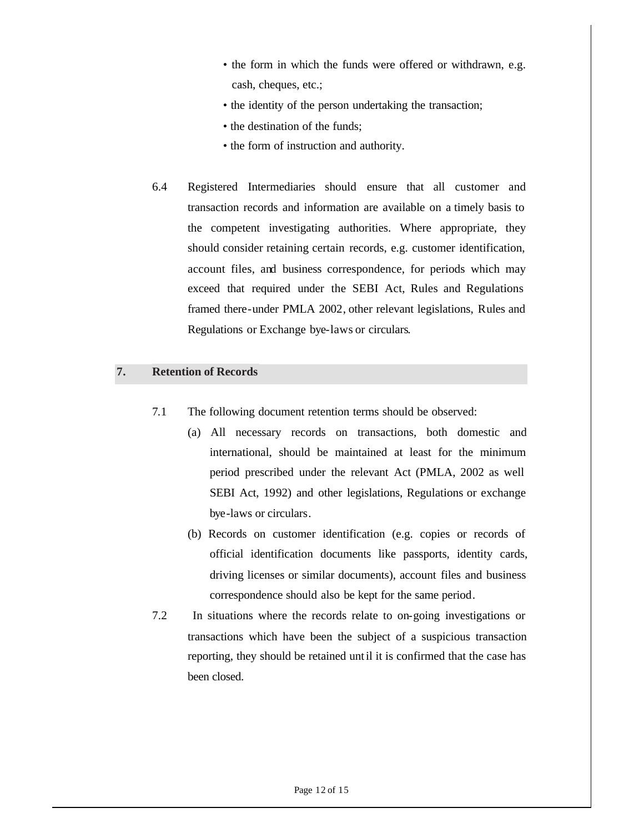- the form in which the funds were offered or withdrawn, e.g. cash, cheques, etc.;
- the identity of the person undertaking the transaction;
- the destination of the funds;
- the form of instruction and authority.
- 6.4 Registered Intermediaries should ensure that all customer and transaction records and information are available on a timely basis to the competent investigating authorities. Where appropriate, they should consider retaining certain records, e.g. customer identification, account files, and business correspondence, for periods which may exceed that required under the SEBI Act, Rules and Regulations framed there-under PMLA 2002, other relevant legislations, Rules and Regulations or Exchange bye-laws or circulars.

# **7. Retention of Records**

- 7.1 The following document retention terms should be observed:
	- (a) All necessary records on transactions, both domestic and international, should be maintained at least for the minimum period prescribed under the relevant Act (PMLA, 2002 as well SEBI Act, 1992) and other legislations, Regulations or exchange bye-laws or circulars.
	- (b) Records on customer identification (e.g. copies or records of official identification documents like passports, identity cards, driving licenses or similar documents), account files and business correspondence should also be kept for the same period.
- 7.2 In situations where the records relate to on-going investigations or transactions which have been the subject of a suspicious transaction reporting, they should be retained until it is confirmed that the case has been closed.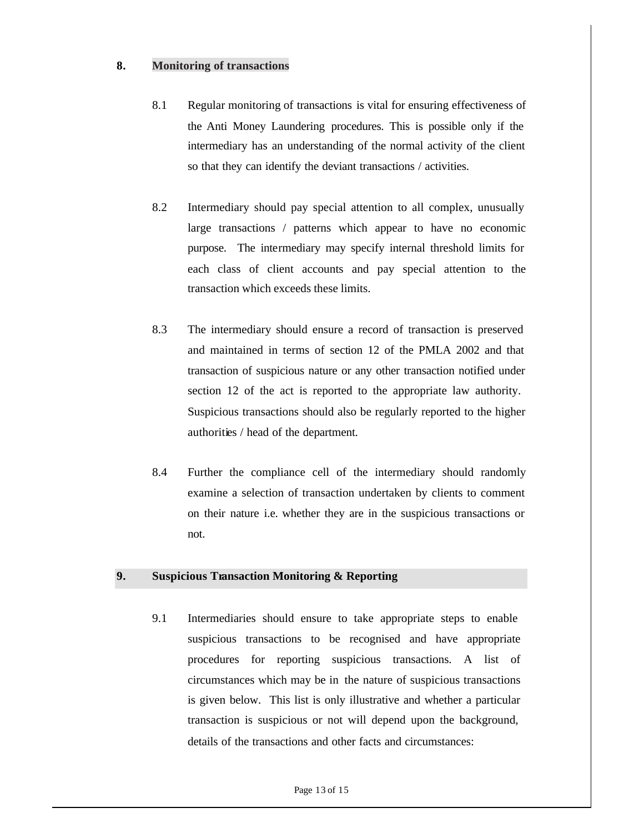# **8. Monitoring of transactions**

- 8.1 Regular monitoring of transactions is vital for ensuring effectiveness of the Anti Money Laundering procedures. This is possible only if the intermediary has an understanding of the normal activity of the client so that they can identify the deviant transactions / activities.
- 8.2 Intermediary should pay special attention to all complex, unusually large transactions / patterns which appear to have no economic purpose. The intermediary may specify internal threshold limits for each class of client accounts and pay special attention to the transaction which exceeds these limits.
- 8.3 The intermediary should ensure a record of transaction is preserved and maintained in terms of section 12 of the PMLA 2002 and that transaction of suspicious nature or any other transaction notified under section 12 of the act is reported to the appropriate law authority. Suspicious transactions should also be regularly reported to the higher authorities / head of the department.
- 8.4 Further the compliance cell of the intermediary should randomly examine a selection of transaction undertaken by clients to comment on their nature i.e. whether they are in the suspicious transactions or not.

## **9. Suspicious Transaction Monitoring & Reporting**

9.1 Intermediaries should ensure to take appropriate steps to enable suspicious transactions to be recognised and have appropriate procedures for reporting suspicious transactions. A list of circumstances which may be in the nature of suspicious transactions is given below. This list is only illustrative and whether a particular transaction is suspicious or not will depend upon the background, details of the transactions and other facts and circumstances: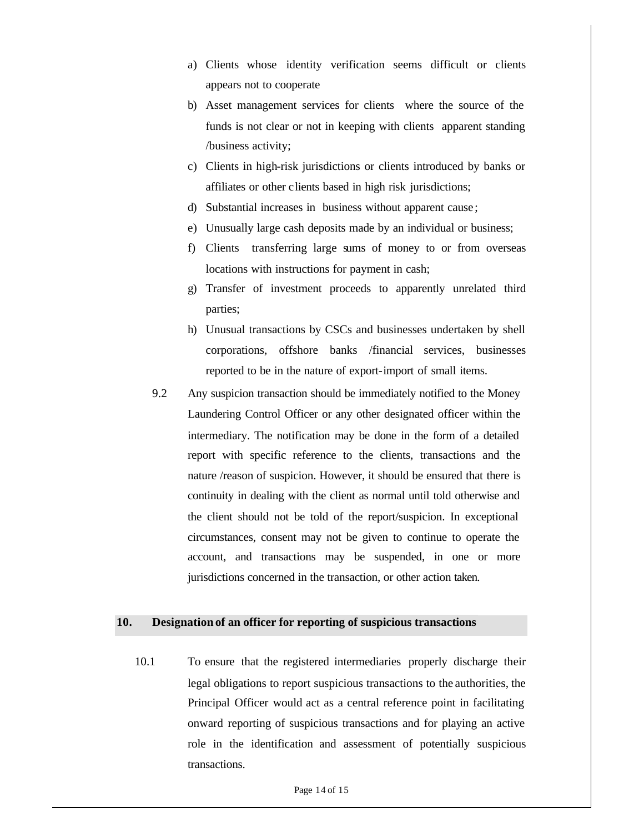- a) Clients whose identity verification seems difficult or clients appears not to cooperate
- b) Asset management services for clients where the source of the funds is not clear or not in keeping with clients apparent standing /business activity;
- c) Clients in high-risk jurisdictions or clients introduced by banks or affiliates or other clients based in high risk jurisdictions;
- d) Substantial increases in business without apparent cause ;
- e) Unusually large cash deposits made by an individual or business;
- f) Clients transferring large sums of money to or from overseas locations with instructions for payment in cash;
- g) Transfer of investment proceeds to apparently unrelated third parties;
- h) Unusual transactions by CSCs and businesses undertaken by shell corporations, offshore banks /financial services, businesses reported to be in the nature of export-import of small items.
- 9.2 Any suspicion transaction should be immediately notified to the Money Laundering Control Officer or any other designated officer within the intermediary. The notification may be done in the form of a detailed report with specific reference to the clients, transactions and the nature /reason of suspicion. However, it should be ensured that there is continuity in dealing with the client as normal until told otherwise and the client should not be told of the report/suspicion. In exceptional circumstances, consent may not be given to continue to operate the account, and transactions may be suspended, in one or more jurisdictions concerned in the transaction, or other action taken.

#### **10. Designation of an officer for reporting of suspicious transactions**

10.1 To ensure that the registered intermediaries properly discharge their legal obligations to report suspicious transactions to the authorities, the Principal Officer would act as a central reference point in facilitating onward reporting of suspicious transactions and for playing an active role in the identification and assessment of potentially suspicious transactions.